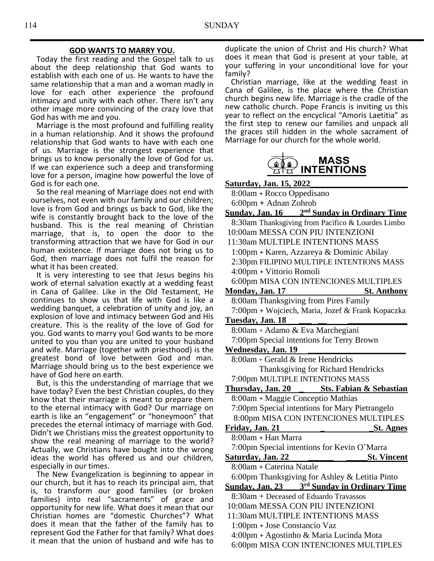#### **GOD WANTS TO MARRY YOU.**

 Today the first reading and the Gospel talk to us about the deep relationship that God wants to establish with each one of us. He wants to have the same relationship that a man and a woman madly in love for each other experience the profound intimacy and unity with each other. There isn't any other image more convincing of the crazy love that God has with me and you.

 Marriage is the most profound and fulfilling reality in a human relationship. And it shows the profound relationship that God wants to have with each one of us. Marriage is the strongest experience that brings us to know personally the love of God for us. If we can experience such a deep and transforming love for a person, imagine how powerful the love of God is for each one.

 So the real meaning of Marriage does not end with ourselves, not even with our family and our children; love is from God and brings us back to God, like the wife is constantly brought back to the love of the husband. This is the real meaning of Christian marriage, that is, to open the door to the transforming attraction that we have for God in our human existence. If marriage does not bring us to God, then marriage does not fulfil the reason for what it has been created.

 It is very interesting to see that Jesus begins his work of eternal salvation exactly at a wedding feast in Cana of Galilee. Like in the Old Testament, He continues to show us that life with God is like a wedding banquet, a celebration of unity and joy, an explosion of love and intimacy between God and His creature. This is the reality of the love of God for you. God wants to marry you! God wants to be more united to you than you are united to your husband and wife. Marriage (together with priesthood) is the greatest bond of love between God and man. Marriage should bring us to the best experience we have of God here on earth.

 But, is this the understanding of marriage that we have today? Even the best Christian couples, do they know that their marriage is meant to prepare them to the eternal intimacy with God? Our marriage on earth is like an "engagement" or "honeymoon" that precedes the eternal intimacy of marriage with God. Didn't we Christians miss the greatest opportunity to show the real meaning of marriage to the world? Actually, we Christians have bought into the wrong ideas the world has offered us and our children, especially in our times.

 The New Evangelization is beginning to appear in our church, but it has to reach its principal aim, that is, to transform our good families (or broken families) into real "sacraments" of grace and opportunity for new life. What does it mean that our Christian homes are "domestic Churches"? What does it mean that the father of the family has to represent God the Father for that family? What does it mean that the union of husband and wife has to

duplicate the union of Christ and His church? What does it mean that God is present at your table, at your suffering in your unconditional love for your family?

 Christian marriage, like at the wedding feast in Cana of Galilee, is the place where the Christian church begins new life. Marriage is the cradle of the new catholic church. Pope Francis is inviting us this year to reflect on the encyclical "Amoris Laetitia" as the first step to renew our families and unpack all the graces still hidden in the whole sacrament of Marriage for our church for the whole world.



#### **Saturday, Jan. 15, 2022\_\_\_\_\_\_\_\_\_\_\_\_\_\_\_\_\_\_\_\_\_\_\_**

8:00am **+** Rocco Oppedisano 6:00pm **+** Adnan Zohrob

**Sunday, Jan. 16 2 nd Sunday in Ordinary Time** 8:30am Thanksgiving from Pacifico & Lourdes Limbo 10:00am MESSA CON PIU INTENZIONI 11:30am MULTIPLE INTENTIONS MASS 1:00pm **+** Karen, Azzareya & Dominic Abilay 2:30pm FILIPINO MULTIPLE INTENTIONS MASS 4:00pm **+** Vittorio Romoli 6:00pm MISA CON INTENCIONES MULTIPLES **Monday, Jan. 17 St. Anthony** 8:00am Thanksgiving from Pires Family 7:00pm **+** Wojciech, Maria, Jozef & Frank Kopaczka **Tuesday, Jan. 18 \_\_\_ \_\_ \_\_\_\_\_\_\_\_\_\_\_\_\_\_** 8:00am + Adamo & Eva Marchegiani 7:00pm Special intentions for Terry Brown **Wednesday, Jan. 19 \_\_\_\_\_\_\_\_\_\_\_\_\_\_\_\_\_\_\_\_\_\_\_** 8:00am + Gerald & Irene Hendricks Thanksgiving for Richard Hendricks 7:00pm MULTIPLE INTENTIONS MASS **Thursday, Jan. 20 \_ Sts. Fabian & Sebastian** 8:00am **+** Maggie Conceptio Mathias 7:00pm Special intentions for Mary Pietrangelo 8:00pm MISA CON INTENCIONES MULTIPLES **Friday, Jan. 21 \_ \_St. Agnes** 8:00am **+** Han Marra 7:00pm Special intentions for Kevin O'Marra **Saturday, Jan. 22 \_\_\_\_\_\_ \_\_\_\_\_St. Vincent** 8:00am **+** Caterina Natale 6:00pm Thanksgiving for Ashley & Letitia Pinto **Sunday, Jan. 23 3 rd Sunday in Ordinary Time** 8:30am + Deceased of Eduardo Travassos 10:00am MESSA CON PIU INTENZIONI 11:30am MULTIPLE INTENTIONS MASS 1:00pm **+** Jose Constancio Vaz 4:00pm **+** Agostinho & Maria Lucinda Mota 6:00pm MISA CON INTENCIONES MULTIPLES